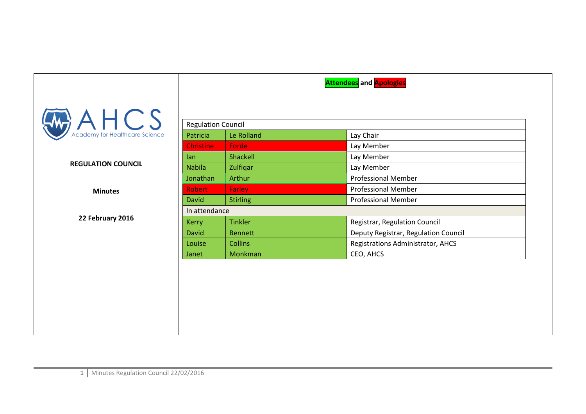|                                                |                           |                 | <b>Attendees</b> and <b>Apologies</b> |  |
|------------------------------------------------|---------------------------|-----------------|---------------------------------------|--|
| $A \cup C$ S<br>Academy for Healthcare Science | <b>Regulation Council</b> |                 |                                       |  |
|                                                | Patricia                  | Le Rolland      | Lay Chair                             |  |
|                                                | <b>Christine</b>          | Forde           | Lay Member                            |  |
|                                                | lan                       | Shackell        | Lay Member                            |  |
| <b>REGULATION COUNCIL</b>                      | <b>Nabila</b>             | Zulfiqar        | Lay Member                            |  |
|                                                | Jonathan                  | Arthur          | <b>Professional Member</b>            |  |
| <b>Minutes</b>                                 | <b>Robert</b>             | Farley          | <b>Professional Member</b>            |  |
|                                                | <b>David</b>              | <b>Stirling</b> | <b>Professional Member</b>            |  |
|                                                | In attendance             |                 |                                       |  |
| 22 February 2016                               | <b>Kerry</b>              | <b>Tinkler</b>  | Registrar, Regulation Council         |  |
|                                                | David                     | <b>Bennett</b>  | Deputy Registrar, Regulation Council  |  |
|                                                | Louise                    | <b>Collins</b>  | Registrations Administrator, AHCS     |  |
|                                                | Janet                     | Monkman         | CEO, AHCS                             |  |
|                                                |                           |                 |                                       |  |
|                                                |                           |                 |                                       |  |
|                                                |                           |                 |                                       |  |
|                                                |                           |                 |                                       |  |
|                                                |                           |                 |                                       |  |
|                                                |                           |                 |                                       |  |
|                                                |                           |                 |                                       |  |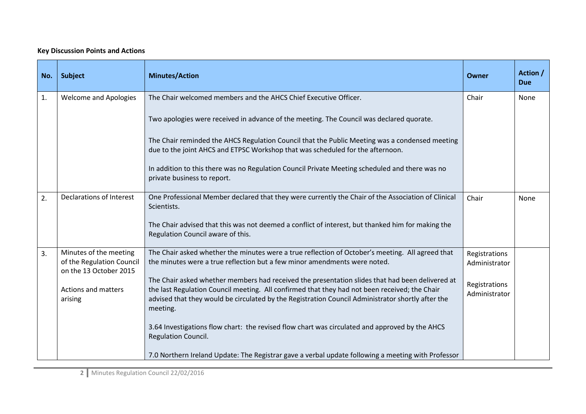## **Key Discussion Points and Actions**

| No. | <b>Subject</b>                                                                                                  | <b>Minutes/Action</b>                                                                                                                                                                                                                                                                                                                                                                                                                                                                                                                                                                                                                                                                                                             | <b>Owner</b>                                                     | Action /<br><b>Due</b> |
|-----|-----------------------------------------------------------------------------------------------------------------|-----------------------------------------------------------------------------------------------------------------------------------------------------------------------------------------------------------------------------------------------------------------------------------------------------------------------------------------------------------------------------------------------------------------------------------------------------------------------------------------------------------------------------------------------------------------------------------------------------------------------------------------------------------------------------------------------------------------------------------|------------------------------------------------------------------|------------------------|
| 1.  | <b>Welcome and Apologies</b>                                                                                    | The Chair welcomed members and the AHCS Chief Executive Officer.<br>Two apologies were received in advance of the meeting. The Council was declared quorate.<br>The Chair reminded the AHCS Regulation Council that the Public Meeting was a condensed meeting<br>due to the joint AHCS and ETPSC Workshop that was scheduled for the afternoon.<br>In addition to this there was no Regulation Council Private Meeting scheduled and there was no<br>private business to report.                                                                                                                                                                                                                                                 | Chair                                                            | None                   |
| 2.  | Declarations of Interest                                                                                        | One Professional Member declared that they were currently the Chair of the Association of Clinical<br>Scientists.<br>The Chair advised that this was not deemed a conflict of interest, but thanked him for making the<br>Regulation Council aware of this.                                                                                                                                                                                                                                                                                                                                                                                                                                                                       | Chair                                                            | None                   |
| 3.  | Minutes of the meeting<br>of the Regulation Council<br>on the 13 October 2015<br>Actions and matters<br>arising | The Chair asked whether the minutes were a true reflection of October's meeting. All agreed that<br>the minutes were a true reflection but a few minor amendments were noted.<br>The Chair asked whether members had received the presentation slides that had been delivered at<br>the last Regulation Council meeting. All confirmed that they had not been received; the Chair<br>advised that they would be circulated by the Registration Council Administrator shortly after the<br>meeting.<br>3.64 Investigations flow chart: the revised flow chart was circulated and approved by the AHCS<br>Regulation Council.<br>7.0 Northern Ireland Update: The Registrar gave a verbal update following a meeting with Professor | Registrations<br>Administrator<br>Registrations<br>Administrator |                        |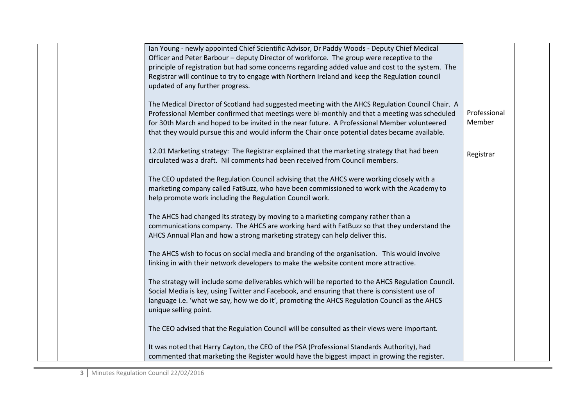|  | Ian Young - newly appointed Chief Scientific Advisor, Dr Paddy Woods - Deputy Chief Medical<br>Officer and Peter Barbour - deputy Director of workforce. The group were receptive to the<br>principle of registration but had some concerns regarding added value and cost to the system. The<br>Registrar will continue to try to engage with Northern Ireland and keep the Regulation council<br>updated of any further progress. |                        |
|--|-------------------------------------------------------------------------------------------------------------------------------------------------------------------------------------------------------------------------------------------------------------------------------------------------------------------------------------------------------------------------------------------------------------------------------------|------------------------|
|  | The Medical Director of Scotland had suggested meeting with the AHCS Regulation Council Chair. A<br>Professional Member confirmed that meetings were bi-monthly and that a meeting was scheduled<br>for 30th March and hoped to be invited in the near future. A Professional Member volunteered<br>that they would pursue this and would inform the Chair once potential dates became available.                                   | Professional<br>Member |
|  | 12.01 Marketing strategy: The Registrar explained that the marketing strategy that had been<br>circulated was a draft. Nil comments had been received from Council members.                                                                                                                                                                                                                                                         | Registrar              |
|  | The CEO updated the Regulation Council advising that the AHCS were working closely with a<br>marketing company called FatBuzz, who have been commissioned to work with the Academy to<br>help promote work including the Regulation Council work.                                                                                                                                                                                   |                        |
|  | The AHCS had changed its strategy by moving to a marketing company rather than a<br>communications company. The AHCS are working hard with FatBuzz so that they understand the<br>AHCS Annual Plan and how a strong marketing strategy can help deliver this.                                                                                                                                                                       |                        |
|  | The AHCS wish to focus on social media and branding of the organisation. This would involve<br>linking in with their network developers to make the website content more attractive.                                                                                                                                                                                                                                                |                        |
|  | The strategy will include some deliverables which will be reported to the AHCS Regulation Council.<br>Social Media is key, using Twitter and Facebook, and ensuring that there is consistent use of<br>language i.e. 'what we say, how we do it', promoting the AHCS Regulation Council as the AHCS<br>unique selling point.                                                                                                        |                        |
|  | The CEO advised that the Regulation Council will be consulted as their views were important.                                                                                                                                                                                                                                                                                                                                        |                        |
|  | It was noted that Harry Cayton, the CEO of the PSA (Professional Standards Authority), had<br>commented that marketing the Register would have the biggest impact in growing the register.                                                                                                                                                                                                                                          |                        |